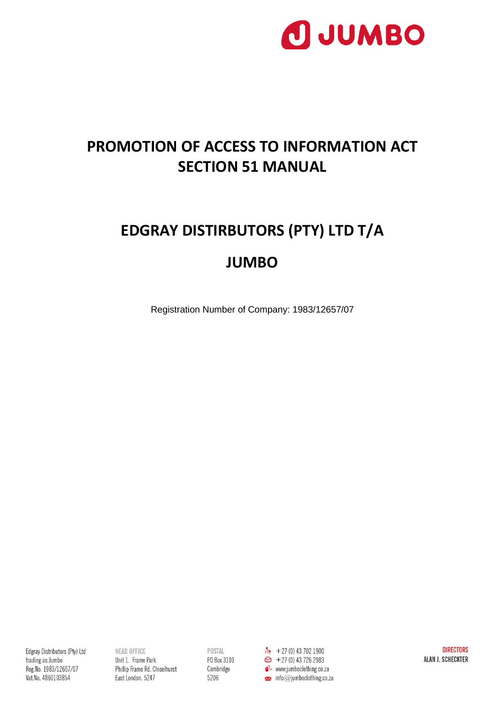

### **PROMOTION OF ACCESS TO INFORMATION ACT SECTION 51 MANUAL**

## **EDGRAY DISTIRBUTORS (PTY) LTD T/A JUMBO**

Registration Number of Company: 1983/12657/07

Edgray Distributors (Pty) Ltd trading as Jumbo Reg.No. 1983/12657/07 Vat.No. 4860103854

**HEAD OFFICE** Unit 1. Frame Park Phillip Frame Rd. Chiselhurst East London. 5247

Cambridge 5206

 $\bullet$  www.jumboclothing.co.za  $\blacktriangleright$  info@jumboclothing.co.za

**DIRECTORS** ALAN J. SCHECKTER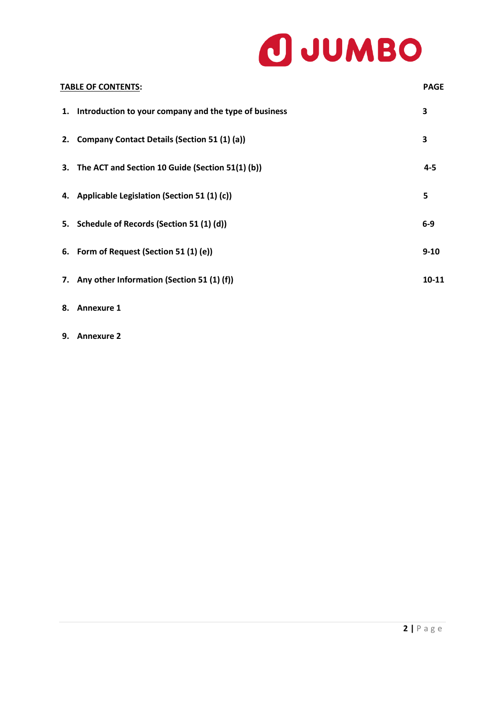# O JUMBO

|    | <b>TABLE OF CONTENTS:</b>                                | <b>PAGE</b> |
|----|----------------------------------------------------------|-------------|
|    | 1. Introduction to your company and the type of business | 3           |
| 2. | Company Contact Details (Section 51 (1) (a))             | 3           |
|    | 3. The ACT and Section 10 Guide (Section 51(1) (b))      | $4 - 5$     |
|    | 4. Applicable Legislation (Section 51 (1) (c))           | 5           |
|    | 5. Schedule of Records (Section 51 (1) (d))              | $6-9$       |
|    | 6. Form of Request (Section 51 (1) (e))                  | $9 - 10$    |
|    | 7. Any other Information (Section 51 (1) (f))            | $10 - 11$   |
|    |                                                          |             |

- **8. Annexure 1**
- **9. Annexure 2**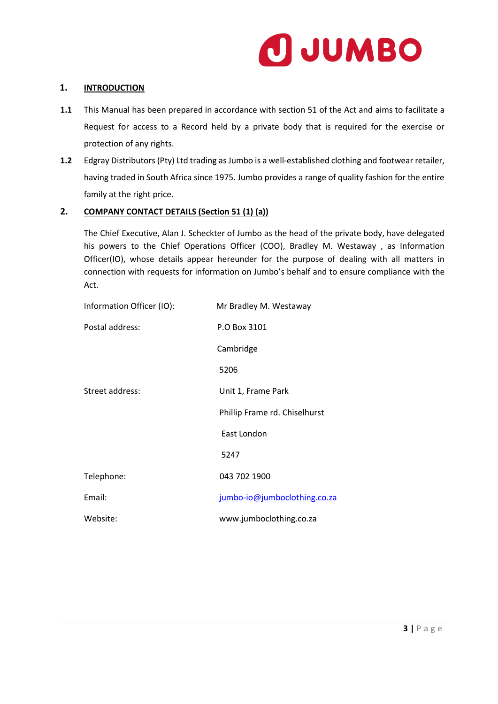

#### **1. INTRODUCTION**

- **1.1** This Manual has been prepared in accordance with section 51 of the Act and aims to facilitate a Request for access to a Record held by a private body that is required for the exercise or protection of any rights.
- **1.2** Edgray Distributors (Pty) Ltd trading as Jumbo is a well-established clothing and footwear retailer, having traded in South Africa since 1975. Jumbo provides a range of quality fashion for the entire family at the right price.

#### **2. COMPANY CONTACT DETAILS (Section 51 (1) (a))**

The Chief Executive, Alan J. Scheckter of Jumbo as the head of the private body, have delegated his powers to the Chief Operations Officer (COO), Bradley M. Westaway , as Information Officer(IO), whose details appear hereunder for the purpose of dealing with all matters in connection with requests for information on Jumbo's behalf and to ensure compliance with the Act.

| Information Officer (IO): | Mr Bradley M. Westaway        |
|---------------------------|-------------------------------|
| Postal address:           | P.O Box 3101                  |
|                           | Cambridge                     |
|                           | 5206                          |
| Street address:           | Unit 1, Frame Park            |
|                           | Phillip Frame rd. Chiselhurst |
|                           | East London                   |
|                           | 5247                          |
| Telephone:                | 043 702 1900                  |
| Email:                    | jumbo-io@jumboclothing.co.za  |
| Website:                  | www.jumboclothing.co.za       |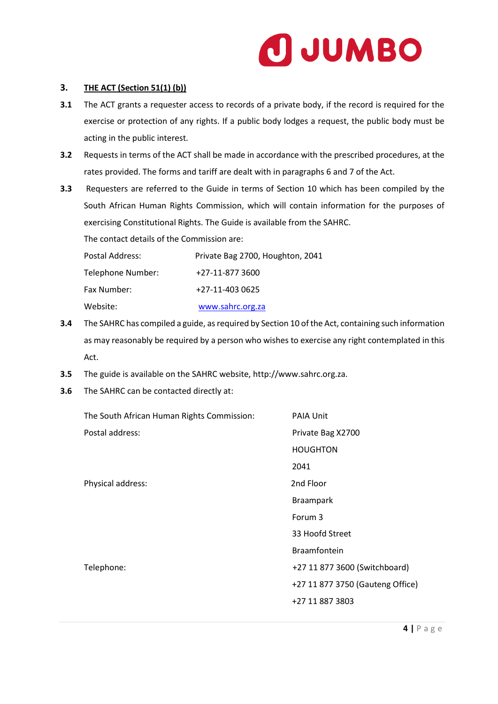

#### **3. THE ACT (Section 51(1) (b))**

- **3.1** The ACT grants a requester access to records of a private body, if the record is required for the exercise or protection of any rights. If a public body lodges a request, the public body must be acting in the public interest.
- **3.2** Requests in terms of the ACT shall be made in accordance with the prescribed procedures, at the rates provided. The forms and tariff are dealt with in paragraphs 6 and 7 of the Act.
- **3.3** Requesters are referred to the Guide in terms of Section 10 which has been compiled by the South African Human Rights Commission, which will contain information for the purposes of exercising Constitutional Rights. The Guide is available from the SAHRC.

The contact details of the Commission are:

| Postal Address:   | Private Bag 2700, Houghton, 2041 |
|-------------------|----------------------------------|
| Telephone Number: | +27-11-877 3600                  |
| Fax Number:       | +27-11-403 0625                  |
| Website:          | www.sahrc.org.za                 |

- **3.4** The SAHRC has compiled a guide, as required by Section 10 of the Act, containing such information as may reasonably be required by a person who wishes to exercise any right contemplated in this Act.
- **3.5** The guide is available on the SAHRC website, http://www.sahrc.org.za.
- **3.6** The SAHRC can be contacted directly at:

| The South African Human Rights Commission: | <b>PAIA Unit</b>                 |
|--------------------------------------------|----------------------------------|
| Postal address:                            | Private Bag X2700                |
|                                            | <b>HOUGHTON</b>                  |
|                                            | 2041                             |
| Physical address:                          | 2nd Floor                        |
|                                            | <b>Braampark</b>                 |
|                                            | Forum 3                          |
|                                            | 33 Hoofd Street                  |
|                                            | <b>Braamfontein</b>              |
| Telephone:                                 | +27 11 877 3600 (Switchboard)    |
|                                            | +27 11 877 3750 (Gauteng Office) |
|                                            | +27 11 887 3803                  |
|                                            |                                  |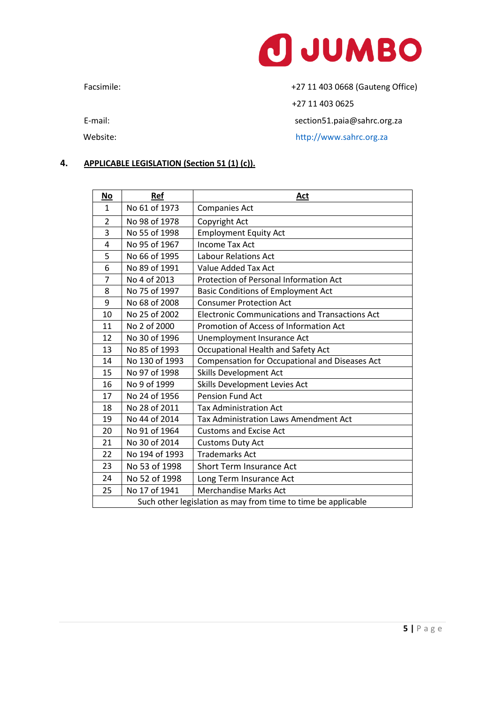

#### **4. APPLICABLE LEGISLATION (Section 51 (1) (c)).**

| No                                                            | Ref            | Act                                                   |
|---------------------------------------------------------------|----------------|-------------------------------------------------------|
| $\mathbf{1}$                                                  | No 61 of 1973  | <b>Companies Act</b>                                  |
| $\overline{2}$                                                | No 98 of 1978  | Copyright Act                                         |
| 3                                                             | No 55 of 1998  | <b>Employment Equity Act</b>                          |
| 4                                                             | No 95 of 1967  | <b>Income Tax Act</b>                                 |
| 5                                                             | No 66 of 1995  | <b>Labour Relations Act</b>                           |
| 6                                                             | No 89 of 1991  | Value Added Tax Act                                   |
| 7                                                             | No 4 of 2013   | Protection of Personal Information Act                |
| 8                                                             | No 75 of 1997  | <b>Basic Conditions of Employment Act</b>             |
| 9                                                             | No 68 of 2008  | <b>Consumer Protection Act</b>                        |
| 10                                                            | No 25 of 2002  | <b>Electronic Communications and Transactions Act</b> |
| 11                                                            | No 2 of 2000   | Promotion of Access of Information Act                |
| 12                                                            | No 30 of 1996  | Unemployment Insurance Act                            |
| 13                                                            | No 85 of 1993  | Occupational Health and Safety Act                    |
| 14                                                            | No 130 of 1993 | Compensation for Occupational and Diseases Act        |
| 15                                                            | No 97 of 1998  | <b>Skills Development Act</b>                         |
| 16                                                            | No 9 of 1999   | Skills Development Levies Act                         |
| 17                                                            | No 24 of 1956  | Pension Fund Act                                      |
| 18                                                            | No 28 of 2011  | <b>Tax Administration Act</b>                         |
| 19                                                            | No 44 of 2014  | <b>Tax Administration Laws Amendment Act</b>          |
| 20                                                            | No 91 of 1964  | <b>Customs and Excise Act</b>                         |
| 21                                                            | No 30 of 2014  | <b>Customs Duty Act</b>                               |
| 22                                                            | No 194 of 1993 | <b>Trademarks Act</b>                                 |
| 23                                                            | No 53 of 1998  | <b>Short Term Insurance Act</b>                       |
| 24                                                            | No 52 of 1998  | Long Term Insurance Act                               |
| 25                                                            | No 17 of 1941  | <b>Merchandise Marks Act</b>                          |
| Such other legislation as may from time to time be applicable |                |                                                       |

Facsimile: +27 11 403 0668 (Gauteng Office)

+27 11 403 0625

E-mail: section51.paia@sahrc.org.za

Website: where the contract of the http://www.sahrc.org.za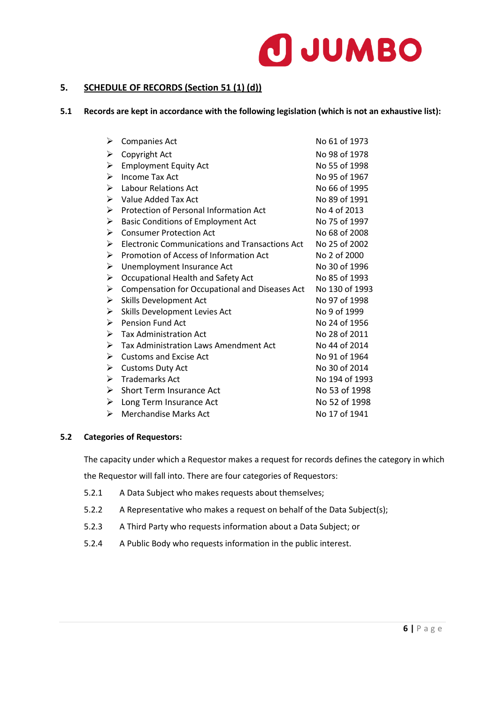

#### **5. SCHEDULE OF RECORDS (Section 51 (1) (d))**

#### **5.1 Records are kept in accordance with the following legislation (which is not an exhaustive list):**

| ➤                     | Companies Act                                  | No 61 of 1973  |
|-----------------------|------------------------------------------------|----------------|
| ➤                     | Copyright Act                                  | No 98 of 1978  |
| ➤                     | <b>Employment Equity Act</b>                   | No 55 of 1998  |
| ➤                     | Income Tax Act                                 | No 95 of 1967  |
| ➤                     | Labour Relations Act                           | No 66 of 1995  |
| ➤                     | Value Added Tax Act                            | No 89 of 1991  |
| ➤                     | Protection of Personal Information Act         | No 4 of 2013   |
| $\blacktriangleright$ | <b>Basic Conditions of Employment Act</b>      | No 75 of 1997  |
| $\blacktriangleright$ | <b>Consumer Protection Act</b>                 | No 68 of 2008  |
| $\blacktriangleright$ | Electronic Communications and Transactions Act | No 25 of 2002  |
| ➤                     | Promotion of Access of Information Act         | No 2 of 2000   |
| ➤                     | Unemployment Insurance Act                     | No 30 of 1996  |
| ➤                     | Occupational Health and Safety Act             | No 85 of 1993  |
| ➤                     | Compensation for Occupational and Diseases Act | No 130 of 1993 |
| $\blacktriangleright$ | Skills Development Act                         | No 97 of 1998  |
| ➤                     | Skills Development Levies Act                  | No 9 of 1999   |
| $\blacktriangleright$ | <b>Pension Fund Act</b>                        | No 24 of 1956  |
| ➤                     | <b>Tax Administration Act</b>                  | No 28 of 2011  |
| ➤                     | Tax Administration Laws Amendment Act          | No 44 of 2014  |
| ≻                     | <b>Customs and Excise Act</b>                  | No 91 of 1964  |
| ➤                     | <b>Customs Duty Act</b>                        | No 30 of 2014  |
| ➤                     | <b>Trademarks Act</b>                          | No 194 of 1993 |
| ≻                     | <b>Short Term Insurance Act</b>                | No 53 of 1998  |
| ➤                     | Long Term Insurance Act                        | No 52 of 1998  |
| ➤                     | <b>Merchandise Marks Act</b>                   | No 17 of 1941  |

#### **5.2 Categories of Requestors:**

The capacity under which a Requestor makes a request for records defines the category in which the Requestor will fall into. There are four categories of Requestors:

- 5.2.1 A Data Subject who makes requests about themselves;
- 5.2.2 A Representative who makes a request on behalf of the Data Subject(s);
- 5.2.3 A Third Party who requests information about a Data Subject; or
- 5.2.4 A Public Body who requests information in the public interest.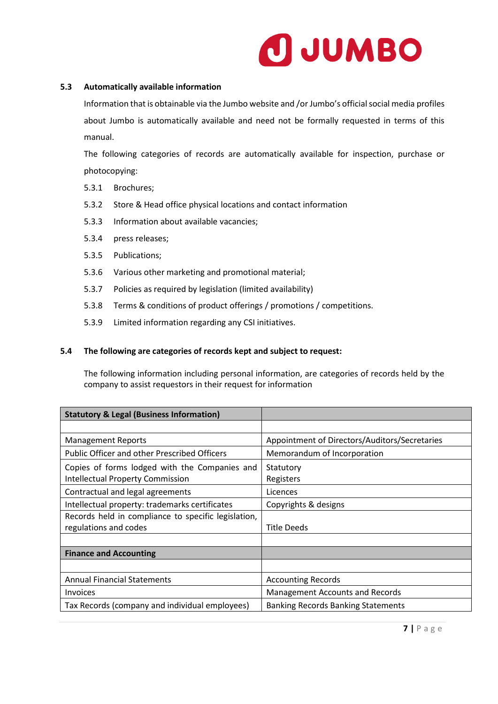

#### **5.3 Automatically available information**

Information that is obtainable via the Jumbo website and /or Jumbo's official social media profiles about Jumbo is automatically available and need not be formally requested in terms of this manual.

The following categories of records are automatically available for inspection, purchase or photocopying:

- 5.3.1 Brochures;
- 5.3.2 Store & Head office physical locations and contact information
- 5.3.3 Information about available vacancies;
- 5.3.4 press releases;
- 5.3.5 Publications;
- 5.3.6 Various other marketing and promotional material;
- 5.3.7 Policies as required by legislation (limited availability)
- 5.3.8 Terms & conditions of product offerings / promotions / competitions.
- 5.3.9 Limited information regarding any CSI initiatives.

#### **5.4 The following are categories of records kept and subject to request:**

The following information including personal information, are categories of records held by the company to assist requestors in their request for information

| <b>Statutory &amp; Legal (Business Information)</b> |                                               |
|-----------------------------------------------------|-----------------------------------------------|
|                                                     |                                               |
| <b>Management Reports</b>                           | Appointment of Directors/Auditors/Secretaries |
| <b>Public Officer and other Prescribed Officers</b> | Memorandum of Incorporation                   |
| Copies of forms lodged with the Companies and       | Statutory                                     |
| <b>Intellectual Property Commission</b>             | Registers                                     |
| Contractual and legal agreements                    | Licences                                      |
| Intellectual property: trademarks certificates      | Copyrights & designs                          |
| Records held in compliance to specific legislation, |                                               |
| regulations and codes                               | <b>Title Deeds</b>                            |
|                                                     |                                               |
| <b>Finance and Accounting</b>                       |                                               |
|                                                     |                                               |
| <b>Annual Financial Statements</b>                  | <b>Accounting Records</b>                     |
| <b>Invoices</b>                                     | Management Accounts and Records               |
| Tax Records (company and individual employees)      | <b>Banking Records Banking Statements</b>     |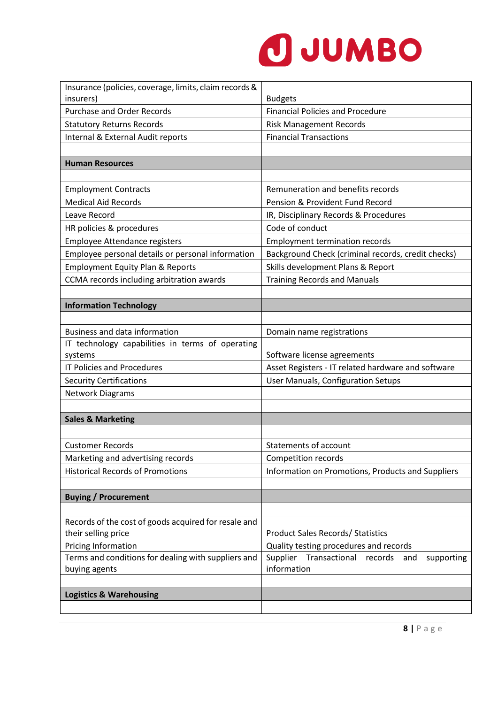

| Insurance (policies, coverage, limits, claim records & |                                                           |
|--------------------------------------------------------|-----------------------------------------------------------|
| insurers)                                              | <b>Budgets</b>                                            |
| <b>Purchase and Order Records</b>                      | <b>Financial Policies and Procedure</b>                   |
| <b>Statutory Returns Records</b>                       | <b>Risk Management Records</b>                            |
| Internal & External Audit reports                      | <b>Financial Transactions</b>                             |
|                                                        |                                                           |
| <b>Human Resources</b>                                 |                                                           |
|                                                        |                                                           |
| <b>Employment Contracts</b>                            | Remuneration and benefits records                         |
| <b>Medical Aid Records</b>                             | Pension & Provident Fund Record                           |
| Leave Record                                           | IR, Disciplinary Records & Procedures                     |
| HR policies & procedures                               | Code of conduct                                           |
| <b>Employee Attendance registers</b>                   | <b>Employment termination records</b>                     |
| Employee personal details or personal information      | Background Check (criminal records, credit checks)        |
| <b>Employment Equity Plan &amp; Reports</b>            | Skills development Plans & Report                         |
| CCMA records including arbitration awards              | <b>Training Records and Manuals</b>                       |
|                                                        |                                                           |
| <b>Information Technology</b>                          |                                                           |
|                                                        |                                                           |
| <b>Business and data information</b>                   | Domain name registrations                                 |
| IT technology capabilities in terms of operating       |                                                           |
| systems                                                | Software license agreements                               |
| <b>IT Policies and Procedures</b>                      | Asset Registers - IT related hardware and software        |
| <b>Security Certifications</b>                         | User Manuals, Configuration Setups                        |
| <b>Network Diagrams</b>                                |                                                           |
|                                                        |                                                           |
| <b>Sales &amp; Marketing</b>                           |                                                           |
|                                                        |                                                           |
| <b>Customer Records</b>                                | Statements of account                                     |
| Marketing and advertising records                      | Competition records                                       |
| <b>Historical Records of Promotions</b>                | Information on Promotions, Products and Suppliers         |
|                                                        |                                                           |
| <b>Buying / Procurement</b>                            |                                                           |
|                                                        |                                                           |
| Records of the cost of goods acquired for resale and   |                                                           |
| their selling price                                    | <b>Product Sales Records/ Statistics</b>                  |
| <b>Pricing Information</b>                             | Quality testing procedures and records                    |
| Terms and conditions for dealing with suppliers and    | Supplier<br>Transactional<br>records<br>supporting<br>and |
| buying agents                                          | information                                               |
|                                                        |                                                           |
| <b>Logistics &amp; Warehousing</b>                     |                                                           |
|                                                        |                                                           |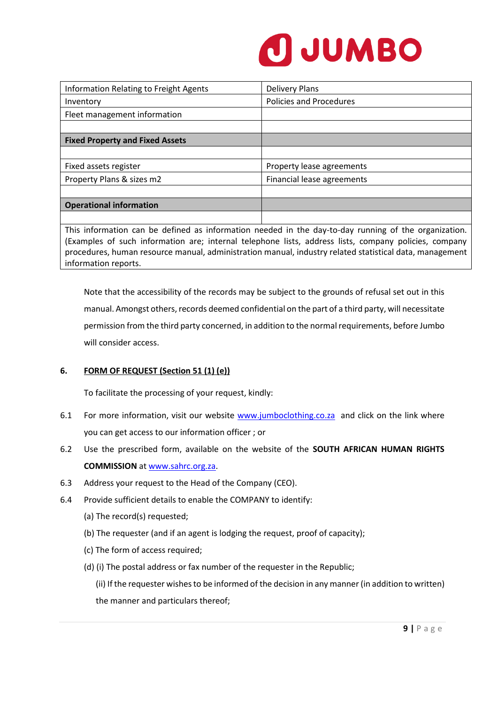

| Information Relating to Freight Agents | <b>Delivery Plans</b>          |
|----------------------------------------|--------------------------------|
| Inventory                              | <b>Policies and Procedures</b> |
| Fleet management information           |                                |
|                                        |                                |
| <b>Fixed Property and Fixed Assets</b> |                                |
|                                        |                                |
| Fixed assets register                  | Property lease agreements      |
| Property Plans & sizes m2              | Financial lease agreements     |
|                                        |                                |
| <b>Operational information</b>         |                                |
|                                        |                                |

This information can be defined as information needed in the day-to-day running of the organization. (Examples of such information are; internal telephone lists, address lists, company policies, company procedures, human resource manual, administration manual, industry related statistical data, management information reports.

Note that the accessibility of the records may be subject to the grounds of refusal set out in this manual. Amongst others, records deemed confidential on the part of a third party, will necessitate permission from the third party concerned, in addition to the normal requirements, before Jumbo will consider access.

#### **6. FORM OF REQUEST (Section 51 (1) (e))**

To facilitate the processing of your request, kindly:

- 6.1 For more information, visit our website [www.jumboclothing.co.za](http://www.jumboclothing.co.za/) and click on the link where you can get access to our information officer ; or
- 6.2 Use the prescribed form, available on the website of the **SOUTH AFRICAN HUMAN RIGHTS COMMISSION** a[t www.sahrc.org.za.](http://www.sahrc.org.za/)
- 6.3 Address your request to the Head of the Company (CEO).
- 6.4 Provide sufficient details to enable the COMPANY to identify:
	- (a) The record(s) requested;
	- (b) The requester (and if an agent is lodging the request, proof of capacity);
	- (c) The form of access required;
	- (d) (i) The postal address or fax number of the requester in the Republic;

(ii) If the requester wishes to be informed of the decision in any manner (in addition to written) the manner and particulars thereof;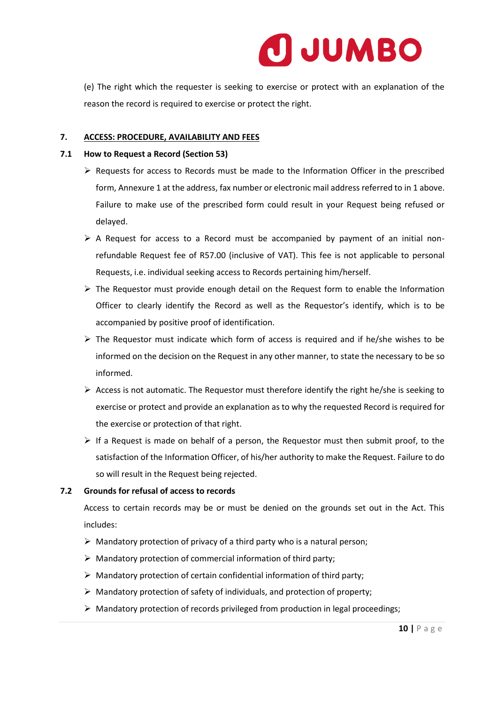

(e) The right which the requester is seeking to exercise or protect with an explanation of the reason the record is required to exercise or protect the right.

#### **7. ACCESS: PROCEDURE, AVAILABILITY AND FEES**

#### **7.1 How to Request a Record (Section 53)**

- $\triangleright$  Requests for access to Records must be made to the Information Officer in the prescribed form, Annexure 1 at the address, fax number or electronic mail address referred to in 1 above. Failure to make use of the prescribed form could result in your Request being refused or delayed.
- $\triangleright$  A Request for access to a Record must be accompanied by payment of an initial nonrefundable Request fee of R57.00 (inclusive of VAT). This fee is not applicable to personal Requests, i.e. individual seeking access to Records pertaining him/herself.
- $\triangleright$  The Requestor must provide enough detail on the Request form to enable the Information Officer to clearly identify the Record as well as the Requestor's identify, which is to be accompanied by positive proof of identification.
- $\triangleright$  The Requestor must indicate which form of access is required and if he/she wishes to be informed on the decision on the Request in any other manner, to state the necessary to be so informed.
- $\triangleright$  Access is not automatic. The Requestor must therefore identify the right he/she is seeking to exercise or protect and provide an explanation as to why the requested Record is required for the exercise or protection of that right.
- $\triangleright$  If a Request is made on behalf of a person, the Requestor must then submit proof, to the satisfaction of the Information Officer, of his/her authority to make the Request. Failure to do so will result in the Request being rejected.

#### **7.2 Grounds for refusal of access to records**

Access to certain records may be or must be denied on the grounds set out in the Act. This includes:

- ➢ Mandatory protection of privacy of a third party who is a natural person;
- $\triangleright$  Mandatory protection of commercial information of third party;
- ➢ Mandatory protection of certain confidential information of third party;
- ➢ Mandatory protection of safety of individuals, and protection of property;
- $\triangleright$  Mandatory protection of records privileged from production in legal proceedings;